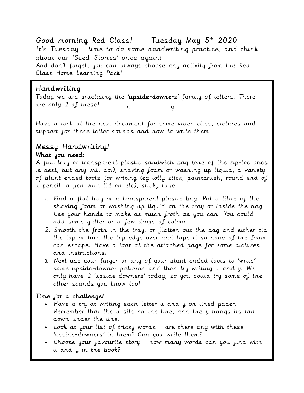## Good morning Red Class! Tuesday May 5th 2020

It's Tuesday - time to do some handwriting practice, and think about our 'Seed Stories' once again!

And don't forget, you can always choose any activity from the Red Class Home Learning Pack!

### Handwriting

Today we are practising the 'upside-downers' family of letters. There are only 2 of these! u y

Have a look at the next document for some video clips, pictures and support for these letter sounds and how to write them.

# Messy Handwriting!

### What you need:

A flat tray or transparent plastic sandwich bag (one of the zip-loc ones is best, but any will do!), shaving foam or washing up liquid, a variety of blunt ended tools for writing (eg lolly stick, paintbrush, round end of a pencil, a pen with lid on etc), sticky tape.

- 1. Find a flat tray or a transparent plastic bag. Put a little of the shaving foam or washing up liquid on the tray or inside the bag. Use your hands to make as much froth as you can. You could add some glitter or a few drops of colour.
- 2. Smooth the froth in the tray, or flatten out the bag and either zip the top or turn the top edge over and tape it so none of the foam can escape. Have a look at the attached page for some pictures and instructions!
- 3. Next use your finger or any of your blunt ended tools to 'write' some upside-downer patterns and then try writing u and y. We only have 2 'upside-downers' today, so you could try some of the other sounds you know too!

### Time for a challenge!

- Have a try at writing each letter u and y on lined paper. Remember that the u sits on the line, and the y hangs its tail down under the line.
- Look at your list of tricky words are there any with these 'upside-downers' in them? Can you write them?
- Choose your favourite story how many words can you find with u and y in the book?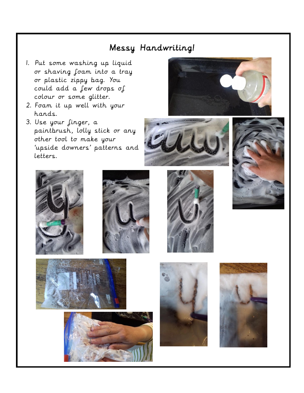## Messy Handwriting!

- 1. Put some washing up liquid or shaving foam into a tray or plastic zippy bag. You could add a few drops of colour or some glitter.
- 2. Foam it up well with your hands.
- 3. Use your finger, a paintbrush, lolly stick or any other tool to make your 'upside downers' patterns and letters.



















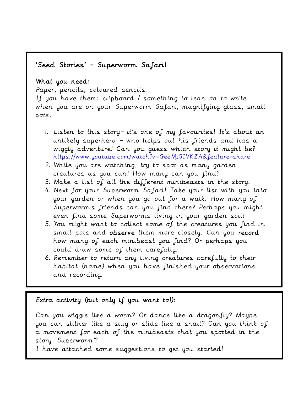## 'Seed Stories' – Superworm Safari!

### What you need:

i

Paper, pencils, coloured pencils.

If you have them: clipboard / something to lean on to write when you are on your Superworm Safari, magnifying glass, small pots.

- 1. Listen to this story– it's one of my favourites! It's about an unlikely superhero – who helps out his friends and has a wiggly adventure! Can you guess which story it might be? <https://www.youtube.com/watch?v=GeeMj5IVKZA&feature=share>
- 2. While you are watching, try to spot as many garden creatures as you can! How many can you find?
- 3. Make a list of all the different minibeasts in the story.
- 4. Next for your Superworm Safari! Take your list with you into your garden or when you go out for a walk. How many of Superworm's friends can you find there? Perhaps you might even find some Superworms living in your garden soil!
- 5. You might want to collect some of the creatures you find in small pots and observe them more closely. Can you record how many of each minibeast you find? Or perhaps you could draw some of them carefully.
- 6. Remember to return any living creatures carefully to their habitat (home) when you have finished your observations and recording.

### Extra activity (but only if you want to!):

Can you wiggle like a worm? Or dance like a dragonfly? Maybe you can slither like a slug or slide like a snail? Can you think of a movement for each of the minibeasts that you spotted in the story 'Superworm'?

I have attached some suggestions to get you started!